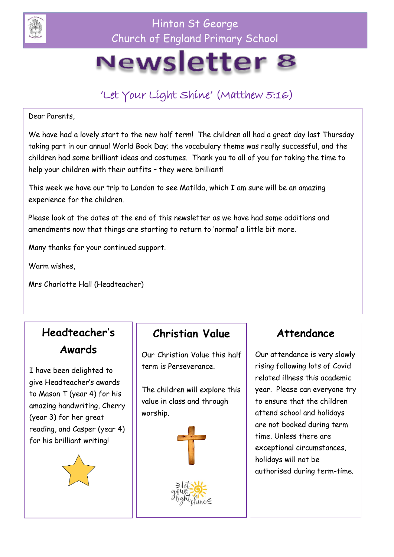

Hinton St George Church of England Primary School

# Newsletter 8

### 'Let Your Light Shine' (Matthew 5:16)

Dear Parents,

We have had a lovely start to the new half term! The children all had a great day last Thursday taking part in our annual World Book Day; the vocabulary theme was really successful, and the children had some brilliant ideas and costumes. Thank you to all of you for taking the time to help your children with their outfits - they were brilliant!

This week we have our trip to London to see Matilda, which I am sure will be an amazing experience for the children.

Please look at the dates at the end of this newsletter as we have had some additions and amendments now that things are starting to return to 'normal' a little bit more.

Many thanks for your continued support.

Warm wishes

Mrs Charlotte Hall (Headteacher)

### **Headteacher's Awards**

I have been delighted to give Headteacher's awards to Mason T (year 4) for his amazing handwriting, Cherry (year 3) for her great reading, and Casper (year 4) for his brilliant writing!



#### **Christian Value**

Our Christian Value this half term is Perseverance.

The children will explore this value in class and through worship.





#### **Attendance**

Our attendance is very slowly rising following lots of Covid related illness this academic year. Please can everyone try to ensure that the children attend school and holidays are not booked during term time. Unless there are exceptional circumstances, holidays will not be authorised during term-time.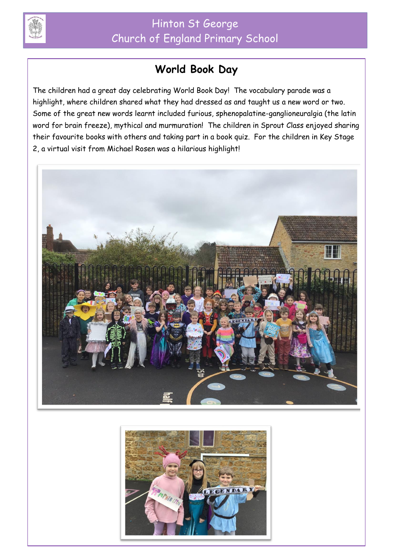

### **World Book Day**

The children had a great day celebrating World Book Day! The vocabulary parade was a highlight, where children shared what they had dressed as and taught us a new word or two. Some of the great new words learnt included furious, sphenopalatine-ganglioneuralgia (the latin word for brain freeze), mythical and murmuration! The children in Sprout Class enjoyed sharing their favourite books with others and taking part in a book quiz. For the children in Key Stage 2, a virtual visit from Michael Rosen was a hilarious highlight!



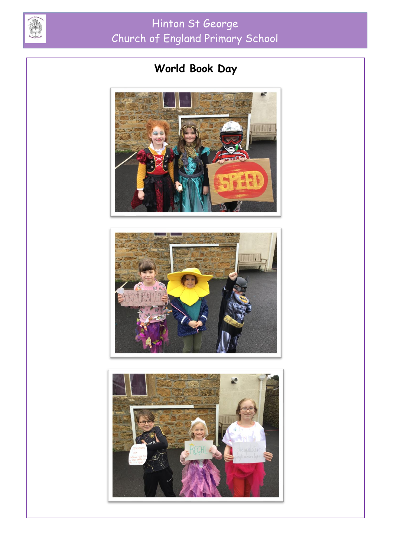

# Hinton St George Church of England Primary School

## **World Book Day**





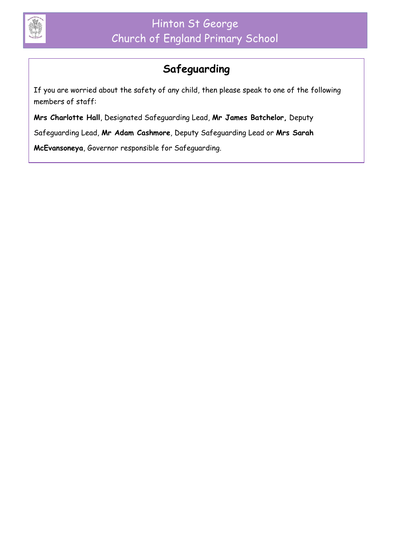

### **Safeguarding**

If you are worried about the safety of any child, then please speak to one of the following members of staff:

**Mrs Charlotte Hall**, Designated Safeguarding Lead, **Mr James Batchelor,** Deputy

Safeguarding Lead, **Mr Adam Cashmore**, Deputy Safeguarding Lead or **Mrs Sarah** 

**McEvansoneya**, Governor responsible for Safeguarding.